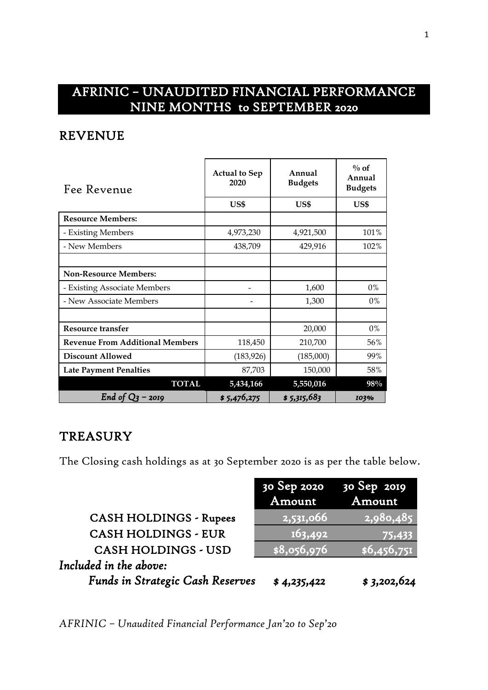## AFRINIC – UNAUDITED FINANCIAL PERFORMANCE NINE MONTHS to SEPTEMBER 2020

#### REVENUE

| Fee Revenue                            | <b>Actual to Sep</b><br>2020 | Annual<br><b>Budgets</b> | $\%$ of<br>Annual<br><b>Budgets</b> |  |
|----------------------------------------|------------------------------|--------------------------|-------------------------------------|--|
|                                        | US\$                         | US\$                     | US\$                                |  |
| <b>Resource Members:</b>               |                              |                          |                                     |  |
| - Existing Members                     | 4,973,230                    | 4,921,500                | 101%                                |  |
| - New Members                          | 438,709                      | 429,916                  | 102%                                |  |
|                                        |                              |                          |                                     |  |
| <b>Non-Resource Members:</b>           |                              |                          |                                     |  |
| - Existing Associate Members           |                              | 1,600                    | 0%                                  |  |
| - New Associate Members                |                              | 1,300                    | $0\%$                               |  |
|                                        |                              |                          |                                     |  |
| Resource transfer                      |                              | 20,000                   | $0\%$                               |  |
| <b>Revenue From Additional Members</b> | 118,450                      | 210,700                  | 56%                                 |  |
| Discount Allowed                       | (183, 926)                   | (185,000)                | 99%                                 |  |
| <b>Late Payment Penalties</b>          | 87,703                       | 150,000                  | 58%                                 |  |
| <b>TOTAL</b>                           | 5,434,166                    | 5,550,016                | 98%                                 |  |
| End of $Q_3$ – 2019                    | \$5,476,275                  | \$5,315,683              | 103%                                |  |

#### **TREASURY**

The Closing cash holdings as at 30 September 2020 is as per the table below.

|                                         | 30 Sep 2020 | 30 Sep 2019 |
|-----------------------------------------|-------------|-------------|
|                                         | Amount      | Amount      |
| <b>CASH HOLDINGS - Rupees</b>           | 2,531,066   | 2,980,485   |
| <b>CASH HOLDINGS - EUR</b>              | 163,492     | 75,433      |
| <b>CASH HOLDINGS - USD</b>              | \$8,056,976 | \$6,456,751 |
| Included in the above:                  |             |             |
| <b>Funds in Strategic Cash Reserves</b> | \$4,235,422 | \$3,202,624 |

*AFRINIC – Unaudited Financial Performance Jan'20 to Sep'20*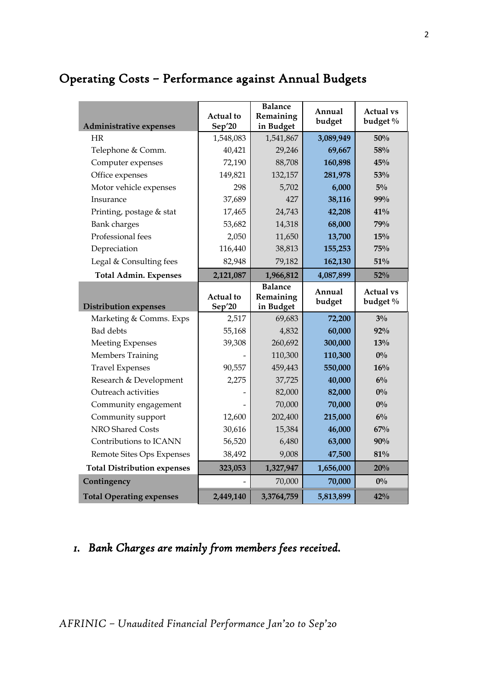# Operating Costs – Performance against Annual Budgets

| Administrative expenses            | Actual to<br>Sep'20 | <b>Balance</b><br>Remaining<br>in Budget | Annual<br>budget | <b>Actual vs</b><br>budget % |
|------------------------------------|---------------------|------------------------------------------|------------------|------------------------------|
| HR                                 | 1,548,083           | 1,541,867                                | 3,089,949        | 50%                          |
| Telephone & Comm.                  | 40,421              | 29,246                                   | 69,667           | 58%                          |
| Computer expenses                  | 72,190              | 88,708                                   | 160,898          | 45%                          |
| Office expenses                    | 149,821             | 132,157                                  | 281,978          | 53%                          |
| Motor vehicle expenses             | 298                 | 5,702                                    | 6,000            | $5\%$                        |
| Insurance                          | 37,689              | 427                                      | 38,116           | 99%                          |
| Printing, postage & stat           | 17,465              | 24,743                                   | 42,208           | $41\%$                       |
| <b>Bank</b> charges                | 53,682              | 14,318                                   | 68,000           | 79%                          |
| Professional fees                  | 2,050               | 11,650                                   | 13,700           | 15%                          |
| Depreciation                       | 116,440             | 38,813                                   | 155,253          | 75%                          |
| Legal & Consulting fees            | 82,948              | 79,182                                   | 162,130          | 51%                          |
| <b>Total Admin. Expenses</b>       | 2,121,087           | 1,966,812                                | 4,087,899        | 52%                          |
| <b>Distribution expenses</b>       | Actual to<br>Sep'20 | <b>Balance</b><br>Remaining<br>in Budget | Annual<br>budget | <b>Actual vs</b><br>budget % |
|                                    |                     |                                          |                  |                              |
| Marketing & Comms. Exps            | 2,517               | 69,683                                   | 72,200           | $3\%$                        |
| <b>Bad</b> debts                   | 55,168              | 4,832                                    | 60,000           | 92%                          |
| <b>Meeting Expenses</b>            | 39,308              | 260,692                                  | 300,000          | 13%                          |
| Members Training                   |                     | 110,300                                  | 110,300          | $0\%$                        |
| <b>Travel Expenses</b>             | 90,557              | 459,443                                  | 550,000          | 16%                          |
| Research & Development             | 2,275               | 37,725                                   | 40,000           | $6\%$                        |
| Outreach activities                |                     | 82,000                                   | 82,000           | $0\%$                        |
| Community engagement               |                     | 70,000                                   | 70,000           | $0\%$                        |
| Community support                  | 12,600              | 202,400                                  | 215,000          | $6\%$                        |
| NRO Shared Costs                   | 30,616              | 15,384                                   | 46,000           | 67%                          |
| Contributions to ICANN             | 56,520              | 6,480                                    | 63,000           | 90%                          |
| Remote Sites Ops Expenses          | 38,492              | 9,008                                    | 47,500           | 81%                          |
| <b>Total Distribution expenses</b> | 323,053             | 1,327,947                                | 1,656,000        | 20%                          |
| Contingency                        |                     | 70,000                                   | 70,000           | $0\%$                        |

# *1. Bank Charges are mainly from members fees received.*